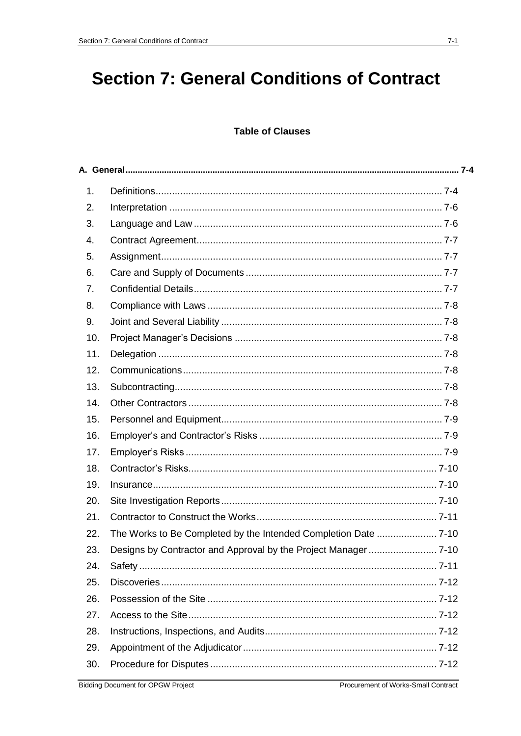# **Section 7: General Conditions of Contract**

# **Table of Clauses**

| 1.  |  |
|-----|--|
| 2.  |  |
| 3.  |  |
| 4.  |  |
| 5.  |  |
| 6.  |  |
| 7.  |  |
| 8.  |  |
| 9.  |  |
| 10. |  |
| 11. |  |
| 12. |  |
| 13. |  |
| 14. |  |
| 15. |  |
| 16. |  |
| 17. |  |
| 18. |  |
| 19. |  |
| 20. |  |
| 21. |  |
| 22. |  |
| 23. |  |
| 24. |  |
| 25. |  |
| 26. |  |
| 27. |  |
| 28. |  |
| 29. |  |
| 30. |  |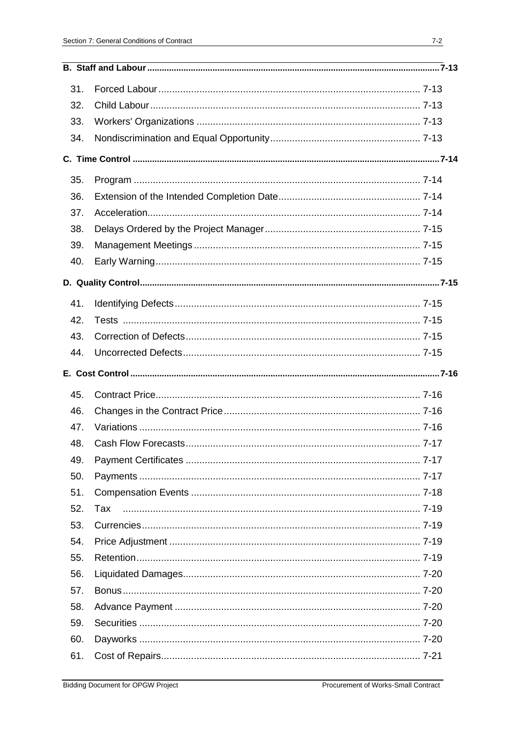| 31. |     |  |
|-----|-----|--|
| 32. |     |  |
| 33. |     |  |
| 34. |     |  |
|     |     |  |
| 35. |     |  |
| 36. |     |  |
| 37. |     |  |
| 38. |     |  |
| 39. |     |  |
| 40. |     |  |
|     |     |  |
| 41. |     |  |
| 42. |     |  |
| 43. |     |  |
| 44. |     |  |
|     |     |  |
| 45. |     |  |
|     |     |  |
| 46. |     |  |
| 47. |     |  |
| 48. |     |  |
| 49. |     |  |
| 50. |     |  |
| 51. |     |  |
| 52. | Tax |  |
| 53. |     |  |
| 54. |     |  |
| 55. |     |  |
| 56. |     |  |
| 57. |     |  |
| 58. |     |  |
| 59. |     |  |
| 60. |     |  |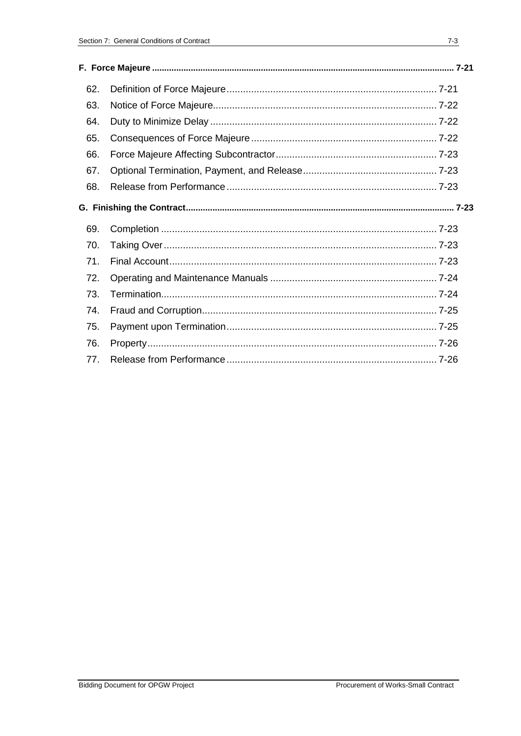| 62. |  |
|-----|--|
| 63. |  |
| 64. |  |
| 65. |  |
| 66. |  |
| 67. |  |
| 68. |  |
|     |  |
| 69. |  |
| 70. |  |
| 71. |  |
| 72. |  |
| 73. |  |
| 74. |  |
| 75. |  |
| 76. |  |
| 77. |  |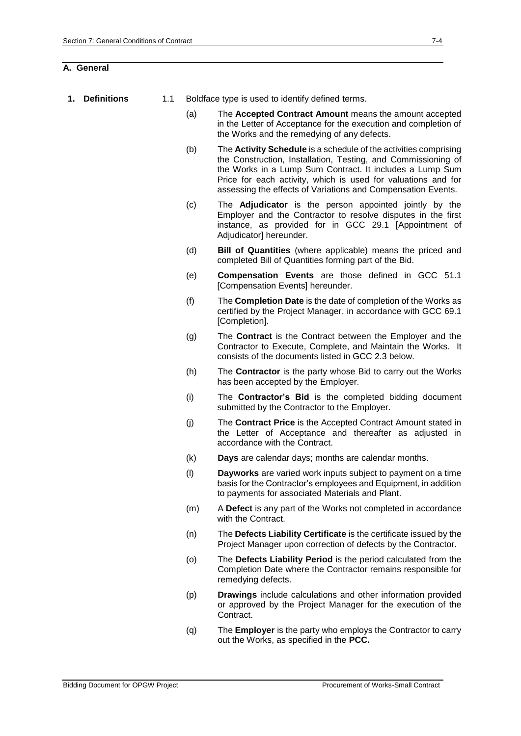### **A. General**

- **1. Definitions** 1.1 Boldface type is used to identify defined terms.
	- (a) The **Accepted Contract Amount** means the amount accepted in the Letter of Acceptance for the execution and completion of the Works and the remedying of any defects.
	- (b) The **Activity Schedule** is a schedule of the activities comprising the Construction, Installation, Testing, and Commissioning of the Works in a Lump Sum Contract. It includes a Lump Sum Price for each activity, which is used for valuations and for assessing the effects of Variations and Compensation Events.
	- (c) The **Adjudicator** is the person appointed jointly by the Employer and the Contractor to resolve disputes in the first instance, as provided for in GCC 29.1 [Appointment of Adjudicator1 hereunder.
	- (d) **Bill of Quantities** (where applicable) means the priced and completed Bill of Quantities forming part of the Bid.
	- (e) **Compensation Events** are those defined in GCC 51.1 [Compensation Events] hereunder.
	- (f) The **Completion Date** is the date of completion of the Works as certified by the Project Manager, in accordance with GCC 69.1 [Completion].
	- (g) The **Contract** is the Contract between the Employer and the Contractor to Execute, Complete, and Maintain the Works. It consists of the documents listed in GCC 2.3 below.
	- (h) The **Contractor** is the party whose Bid to carry out the Works has been accepted by the Employer.
	- (i) The **Contractor's Bid** is the completed bidding document submitted by the Contractor to the Employer.
	- (j) The **Contract Price** is the Accepted Contract Amount stated in the Letter of Acceptance and thereafter as adjusted in accordance with the Contract.
	- (k) **Days** are calendar days; months are calendar months.
	- (l) **Dayworks** are varied work inputs subject to payment on a time basis for the Contractor's employees and Equipment, in addition to payments for associated Materials and Plant.
	- (m) A **Defect** is any part of the Works not completed in accordance with the Contract.
	- (n) The **Defects Liability Certificate** is the certificate issued by the Project Manager upon correction of defects by the Contractor.
	- (o) The **Defects Liability Period** is the period calculated from the Completion Date where the Contractor remains responsible for remedying defects.
	- (p) **Drawings** include calculations and other information provided or approved by the Project Manager for the execution of the Contract.
	- (q) The **Employer** is the party who employs the Contractor to carry out the Works, as specified in the **PCC.**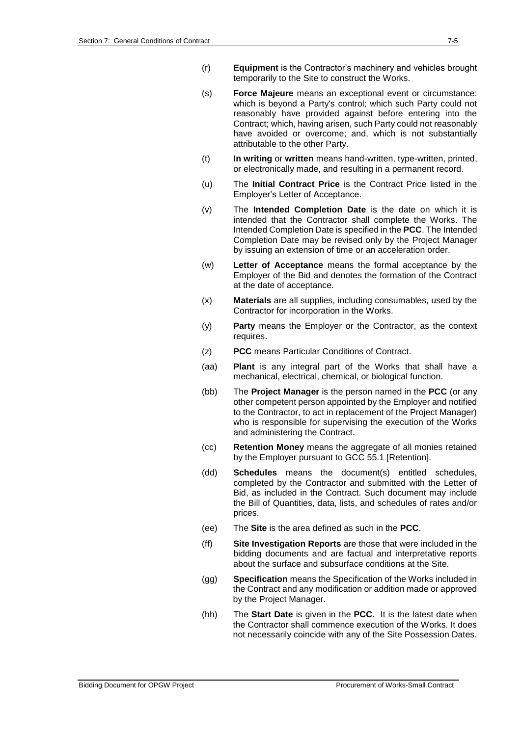- (r) **Equipment** is the Contractor's machinery and vehicles brought temporarily to the Site to construct the Works.
- (s) **Force Majeure** means an exceptional event or circumstance: which is beyond a Party's control; which such Party could not reasonably have provided against before entering into the Contract; which, having arisen, such Party could not reasonably have avoided or overcome; and, which is not substantially attributable to the other Party.
- (t) **In writing** or **written** means hand-written, type-written, printed, or electronically made, and resulting in a permanent record.
- (u) The **Initial Contract Price** is the Contract Price listed in the Employer's Letter of Acceptance.
- (v) The **Intended Completion Date** is the date on which it is intended that the Contractor shall complete the Works. The Intended Completion Date is specified in the **PCC**. The Intended Completion Date may be revised only by the Project Manager by issuing an extension of time or an acceleration order.
- (w) **Letter of Acceptance** means the formal acceptance by the Employer of the Bid and denotes the formation of the Contract at the date of acceptance.
- (x) **Materials** are all supplies, including consumables, used by the Contractor for incorporation in the Works.
- (y) **Party** means the Employer or the Contractor, as the context requires.
- (z) **PCC** means Particular Conditions of Contract.
- (aa) **Plant** is any integral part of the Works that shall have a mechanical, electrical, chemical, or biological function.
- (bb) The **Project Manager** is the person named in the **PCC** (or any other competent person appointed by the Employer and notified to the Contractor, to act in replacement of the Project Manager) who is responsible for supervising the execution of the Works and administering the Contract.
- (cc) **Retention Money** means the aggregate of all monies retained by the Employer pursuant to GCC 55.1 [Retention].
- (dd) **Schedules** means the document(s) entitled schedules, completed by the Contractor and submitted with the Letter of Bid, as included in the Contract. Such document may include the Bill of Quantities, data, lists, and schedules of rates and/or prices.
- (ee) The **Site** is the area defined as such in the **PCC**.
- (ff) **Site Investigation Reports** are those that were included in the bidding documents and are factual and interpretative reports about the surface and subsurface conditions at the Site.
- (gg) **Specification** means the Specification of the Works included in the Contract and any modification or addition made or approved by the Project Manager.
- (hh) The **Start Date** is given in the **PCC**. It is the latest date when the Contractor shall commence execution of the Works. It does not necessarily coincide with any of the Site Possession Dates.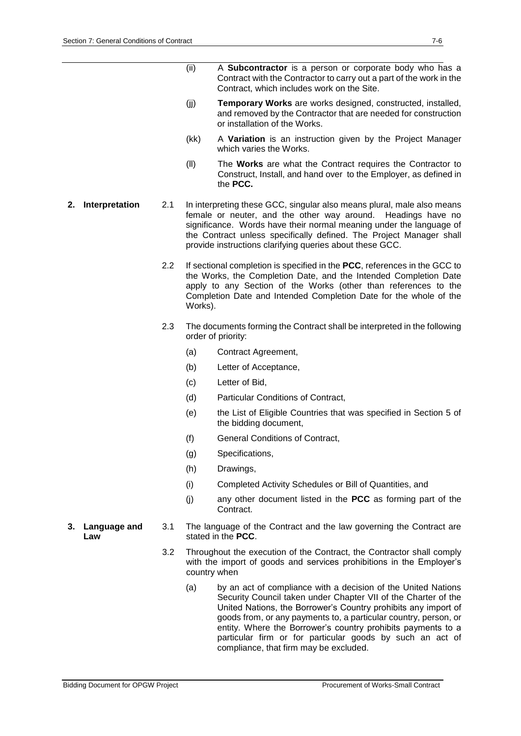- (ii) A **Subcontractor** is a person or corporate body who has a Contract with the Contractor to carry out a part of the work in the Contract, which includes work on the Site.
- (jj) **Temporary Works** are works designed, constructed, installed, and removed by the Contractor that are needed for construction or installation of the Works.
- (kk) A **Variation** is an instruction given by the Project Manager which varies the Works.
- (ll) The **Works** are what the Contract requires the Contractor to Construct, Install, and hand over to the Employer, as defined in the **PCC.**
- **2. Interpretation** 2.1 In interpreting these GCC, singular also means plural, male also means female or neuter, and the other way around. Headings have no significance. Words have their normal meaning under the language of the Contract unless specifically defined. The Project Manager shall provide instructions clarifying queries about these GCC.
	- 2.2 If sectional completion is specified in the **PCC**, references in the GCC to the Works, the Completion Date, and the Intended Completion Date apply to any Section of the Works (other than references to the Completion Date and Intended Completion Date for the whole of the Works).
	- 2.3 The documents forming the Contract shall be interpreted in the following order of priority:
		- (a) Contract Agreement,
		- (b) Letter of Acceptance,
		- (c) Letter of Bid,
		- (d) Particular Conditions of Contract,
		- (e) the List of Eligible Countries that was specified in Section 5 of the bidding document,
		- (f) General Conditions of Contract,
		- (g) Specifications,
		- (h) Drawings,
		- (i) Completed Activity Schedules or Bill of Quantities, and
		- (j) any other document listed in the **PCC** as forming part of the Contract.
- **3. Language and Law** 3.1 The language of the Contract and the law governing the Contract are stated in the **PCC**.
	- 3.2 Throughout the execution of the Contract, the Contractor shall comply with the import of goods and services prohibitions in the Employer's country when
		- (a) by an act of compliance with a decision of the United Nations Security Council taken under Chapter VII of the Charter of the United Nations, the Borrower's Country prohibits any import of goods from, or any payments to, a particular country, person, or entity. Where the Borrower's country prohibits payments to a particular firm or for particular goods by such an act of compliance, that firm may be excluded.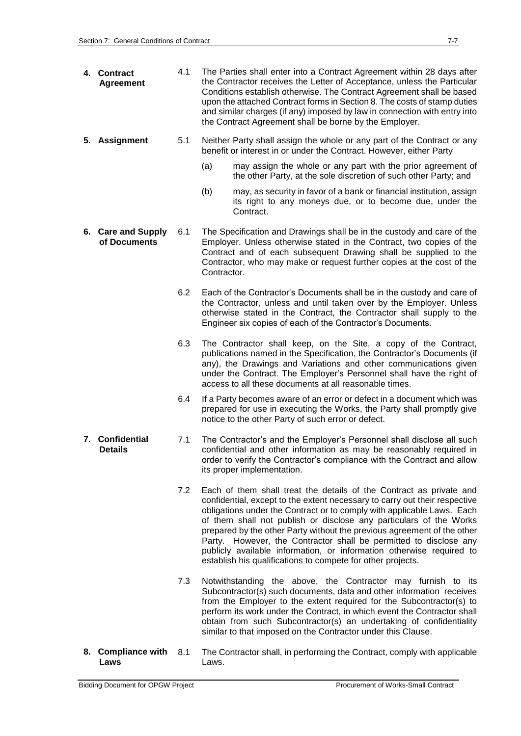| 4. Contract<br><b>Agreement</b>    | 4.1 | The Parties shall enter into a Contract Agreement within 28 days after<br>the Contractor receives the Letter of Acceptance, unless the Particular<br>Conditions establish otherwise. The Contract Agreement shall be based<br>upon the attached Contract forms in Section 8. The costs of stamp duties<br>and similar charges (if any) imposed by law in connection with entry into<br>the Contract Agreement shall be borne by the Employer.                                                                                                                                            |  |  |
|------------------------------------|-----|------------------------------------------------------------------------------------------------------------------------------------------------------------------------------------------------------------------------------------------------------------------------------------------------------------------------------------------------------------------------------------------------------------------------------------------------------------------------------------------------------------------------------------------------------------------------------------------|--|--|
| 5. Assignment                      | 5.1 | Neither Party shall assign the whole or any part of the Contract or any<br>benefit or interest in or under the Contract. However, either Party                                                                                                                                                                                                                                                                                                                                                                                                                                           |  |  |
|                                    |     | (a)<br>may assign the whole or any part with the prior agreement of<br>the other Party, at the sole discretion of such other Party; and                                                                                                                                                                                                                                                                                                                                                                                                                                                  |  |  |
|                                    |     | (b)<br>may, as security in favor of a bank or financial institution, assign<br>its right to any moneys due, or to become due, under the<br>Contract.                                                                                                                                                                                                                                                                                                                                                                                                                                     |  |  |
| 6. Care and Supply<br>of Documents | 6.1 | The Specification and Drawings shall be in the custody and care of the<br>Employer. Unless otherwise stated in the Contract, two copies of the<br>Contract and of each subsequent Drawing shall be supplied to the<br>Contractor, who may make or request further copies at the cost of the<br>Contractor.                                                                                                                                                                                                                                                                               |  |  |
|                                    | 6.2 | Each of the Contractor's Documents shall be in the custody and care of<br>the Contractor, unless and until taken over by the Employer. Unless<br>otherwise stated in the Contract, the Contractor shall supply to the<br>Engineer six copies of each of the Contractor's Documents.                                                                                                                                                                                                                                                                                                      |  |  |
|                                    | 6.3 | The Contractor shall keep, on the Site, a copy of the Contract,<br>publications named in the Specification, the Contractor's Documents (if<br>any), the Drawings and Variations and other communications given<br>under the Contract. The Employer's Personnel shall have the right of<br>access to all these documents at all reasonable times.                                                                                                                                                                                                                                         |  |  |
|                                    | 6.4 | If a Party becomes aware of an error or defect in a document which was<br>prepared for use in executing the Works, the Party shall promptly give<br>notice to the other Party of such error or defect.                                                                                                                                                                                                                                                                                                                                                                                   |  |  |
| 7. Confidential<br><b>Details</b>  | 7.1 | The Contractor's and the Employer's Personnel shall disclose all such<br>confidential and other information as may be reasonably required in<br>order to verify the Contractor's compliance with the Contract and allow<br>its proper implementation.                                                                                                                                                                                                                                                                                                                                    |  |  |
|                                    | 7.2 | Each of them shall treat the details of the Contract as private and<br>confidential, except to the extent necessary to carry out their respective<br>obligations under the Contract or to comply with applicable Laws. Each<br>of them shall not publish or disclose any particulars of the Works<br>prepared by the other Party without the previous agreement of the other<br>Party. However, the Contractor shall be permitted to disclose any<br>publicly available information, or information otherwise required to<br>establish his qualifications to compete for other projects. |  |  |
|                                    | 7.3 | Notwithstanding the above, the Contractor may furnish to its<br>Subcontractor(s) such documents, data and other information receives<br>from the Employer to the extent required for the Subcontractor(s) to<br>perform its work under the Contract, in which event the Contractor shall<br>obtain from such Subcontractor(s) an undertaking of confidentiality<br>similar to that imposed on the Contractor under this Clause.                                                                                                                                                          |  |  |
| 8. Compliance with<br>Laws         | 8.1 | The Contractor shall, in performing the Contract, comply with applicable<br>Laws.                                                                                                                                                                                                                                                                                                                                                                                                                                                                                                        |  |  |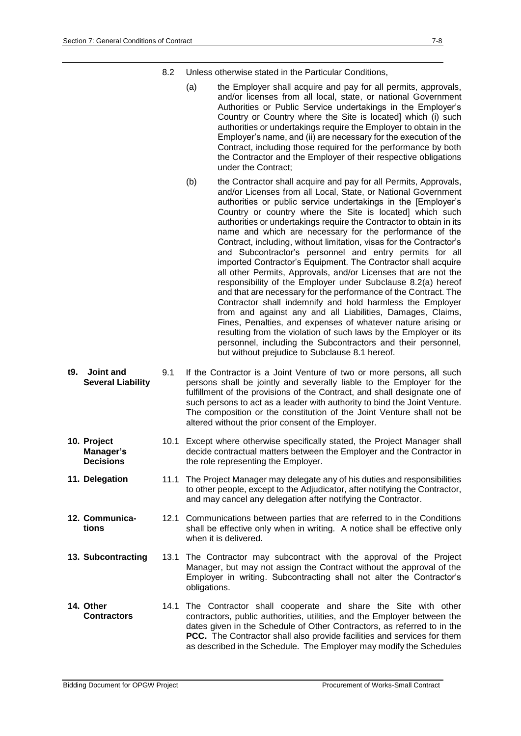- 8.2 Unless otherwise stated in the Particular Conditions,
	- (a) the Employer shall acquire and pay for all permits, approvals, and/or licenses from all local, state, or national Government Authorities or Public Service undertakings in the Employer's Country or Country where the Site is located] which (i) such authorities or undertakings require the Employer to obtain in the Employer's name, and (ii) are necessary for the execution of the Contract, including those required for the performance by both the Contractor and the Employer of their respective obligations under the Contract;
	- (b) the Contractor shall acquire and pay for all Permits, Approvals, and/or Licenses from all Local, State, or National Government authorities or public service undertakings in the [Employer's Country or country where the Site is located] which such authorities or undertakings require the Contractor to obtain in its name and which are necessary for the performance of the Contract, including, without limitation, visas for the Contractor's and Subcontractor's personnel and entry permits for all imported Contractor's Equipment. The Contractor shall acquire all other Permits, Approvals, and/or Licenses that are not the responsibility of the Employer under Subclause 8.2(a) hereof and that are necessary for the performance of the Contract. The Contractor shall indemnify and hold harmless the Employer from and against any and all Liabilities, Damages, Claims, Fines, Penalties, and expenses of whatever nature arising or resulting from the violation of such laws by the Employer or its personnel, including the Subcontractors and their personnel, but without prejudice to Subclause 8.1 hereof.
- **t9. Joint and Several Liability** 9.1 If the Contractor is a Joint Venture of two or more persons, all such persons shall be jointly and severally liable to the Employer for the fulfillment of the provisions of the Contract, and shall designate one of such persons to act as a leader with authority to bind the Joint Venture. The composition or the constitution of the Joint Venture shall not be altered without the prior consent of the Employer.
- **10. Project Manager's Decisions** 10.1 Except where otherwise specifically stated, the Project Manager shall decide contractual matters between the Employer and the Contractor in the role representing the Employer.
- **11. Delegation** 11.1 The Project Manager may delegate any of his duties and responsibilities to other people, except to the Adjudicator, after notifying the Contractor, and may cancel any delegation after notifying the Contractor.
- **12. Communications** 12.1 Communications between parties that are referred to in the Conditions shall be effective only when in writing. A notice shall be effective only when it is delivered.
- **13. Subcontracting** 13.1 The Contractor may subcontract with the approval of the Project Manager, but may not assign the Contract without the approval of the Employer in writing. Subcontracting shall not alter the Contractor's obligations.
- **14. Other Contractors** 14.1 The Contractor shall cooperate and share the Site with other contractors, public authorities, utilities, and the Employer between the dates given in the Schedule of Other Contractors, as referred to in the **PCC.** The Contractor shall also provide facilities and services for them as described in the Schedule. The Employer may modify the Schedules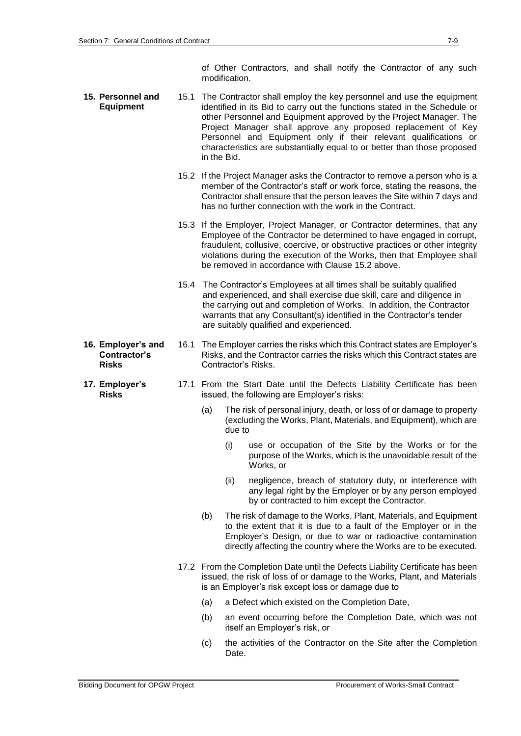of Other Contractors, and shall notify the Contractor of any such modification.

- **15. Personnel and Equipment** 15.1 The Contractor shall employ the key personnel and use the equipment identified in its Bid to carry out the functions stated in the Schedule or other Personnel and Equipment approved by the Project Manager. The Project Manager shall approve any proposed replacement of Key Personnel and Equipment only if their relevant qualifications or characteristics are substantially equal to or better than those proposed in the Bid.
	- 15.2 If the Project Manager asks the Contractor to remove a person who is a member of the Contractor's staff or work force, stating the reasons, the Contractor shall ensure that the person leaves the Site within 7 days and has no further connection with the work in the Contract.
	- 15.3 If the Employer, Project Manager, or Contractor determines, that any Employee of the Contractor be determined to have engaged in corrupt, fraudulent, collusive, coercive, or obstructive practices or other integrity violations during the execution of the Works, then that Employee shall be removed in accordance with Clause 15.2 above.
	- 15.4 The Contractor's Employees at all times shall be suitably qualified and experienced, and shall exercise due skill, care and diligence in the carrying out and completion of Works. In addition, the Contractor warrants that any Consultant(s) identified in the Contractor's tender are suitably qualified and experienced.
- **16. Employer's and Contractor's Risks** 16.1 The Employer carries the risks which this Contract states are Employer's Risks, and the Contractor carries the risks which this Contract states are Contractor's Risks.
	- 17.1 From the Start Date until the Defects Liability Certificate has been issued, the following are Employer's risks:
		- (a) The risk of personal injury, death, or loss of or damage to property (excluding the Works, Plant, Materials, and Equipment), which are due to
			- (i) use or occupation of the Site by the Works or for the purpose of the Works, which is the unavoidable result of the Works, or
			- (ii) negligence, breach of statutory duty, or interference with any legal right by the Employer or by any person employed by or contracted to him except the Contractor.
		- (b) The risk of damage to the Works, Plant, Materials, and Equipment to the extent that it is due to a fault of the Employer or in the Employer's Design, or due to war or radioactive contamination directly affecting the country where the Works are to be executed.
		- 17.2 From the Completion Date until the Defects Liability Certificate has been issued, the risk of loss of or damage to the Works, Plant, and Materials is an Employer's risk except loss or damage due to
			- (a) a Defect which existed on the Completion Date,
			- (b) an event occurring before the Completion Date, which was not itself an Employer's risk, or
			- (c) the activities of the Contractor on the Site after the Completion Date.

**17. Employer's Risks**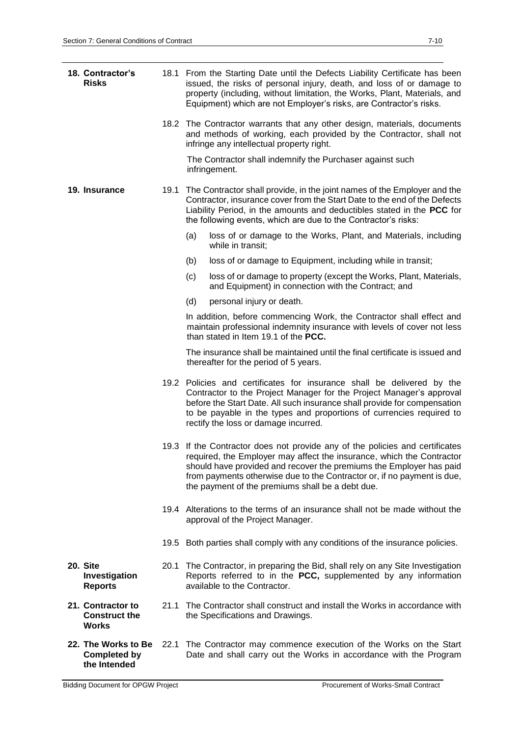| 18. Contractor's<br><b>Risks</b>                   |      | 18.1 From the Starting Date until the Defects Liability Certificate has been<br>issued, the risks of personal injury, death, and loss of or damage to<br>property (including, without limitation, the Works, Plant, Materials, and<br>Equipment) which are not Employer's risks, are Contractor's risks.                                                    |  |  |  |  |
|----------------------------------------------------|------|-------------------------------------------------------------------------------------------------------------------------------------------------------------------------------------------------------------------------------------------------------------------------------------------------------------------------------------------------------------|--|--|--|--|
|                                                    |      | 18.2 The Contractor warrants that any other design, materials, documents<br>and methods of working, each provided by the Contractor, shall not<br>infringe any intellectual property right.                                                                                                                                                                 |  |  |  |  |
|                                                    |      | The Contractor shall indemnify the Purchaser against such<br>infringement.                                                                                                                                                                                                                                                                                  |  |  |  |  |
| 19. Insurance                                      | 19.1 | The Contractor shall provide, in the joint names of the Employer and the<br>Contractor, insurance cover from the Start Date to the end of the Defects<br>Liability Period, in the amounts and deductibles stated in the PCC for<br>the following events, which are due to the Contractor's risks:                                                           |  |  |  |  |
|                                                    |      | (a)<br>loss of or damage to the Works, Plant, and Materials, including<br>while in transit;                                                                                                                                                                                                                                                                 |  |  |  |  |
|                                                    |      | loss of or damage to Equipment, including while in transit;<br>(b)                                                                                                                                                                                                                                                                                          |  |  |  |  |
|                                                    |      | loss of or damage to property (except the Works, Plant, Materials,<br>(c)<br>and Equipment) in connection with the Contract; and                                                                                                                                                                                                                            |  |  |  |  |
|                                                    |      | (d)<br>personal injury or death.                                                                                                                                                                                                                                                                                                                            |  |  |  |  |
|                                                    |      | In addition, before commencing Work, the Contractor shall effect and<br>maintain professional indemnity insurance with levels of cover not less<br>than stated in Item 19.1 of the <b>PCC.</b>                                                                                                                                                              |  |  |  |  |
|                                                    |      | The insurance shall be maintained until the final certificate is issued and<br>thereafter for the period of 5 years.                                                                                                                                                                                                                                        |  |  |  |  |
|                                                    |      | 19.2 Policies and certificates for insurance shall be delivered by the<br>Contractor to the Project Manager for the Project Manager's approval<br>before the Start Date. All such insurance shall provide for compensation<br>to be payable in the types and proportions of currencies required to<br>rectify the loss or damage incurred.                  |  |  |  |  |
|                                                    |      | 19.3 If the Contractor does not provide any of the policies and certificates<br>required, the Employer may affect the insurance, which the Contractor<br>should have provided and recover the premiums the Employer has paid<br>from payments otherwise due to the Contractor or, if no payment is due,<br>the payment of the premiums shall be a debt due. |  |  |  |  |
|                                                    |      | 19.4 Alterations to the terms of an insurance shall not be made without the<br>approval of the Project Manager.                                                                                                                                                                                                                                             |  |  |  |  |
|                                                    |      | 19.5 Both parties shall comply with any conditions of the insurance policies.                                                                                                                                                                                                                                                                               |  |  |  |  |
| 20. Site<br>Investigation<br><b>Reports</b>        |      | 20.1 The Contractor, in preparing the Bid, shall rely on any Site Investigation<br>Reports referred to in the PCC, supplemented by any information<br>available to the Contractor.                                                                                                                                                                          |  |  |  |  |
| 21. Contractor to<br><b>Construct the</b><br>Works | 21.1 | The Contractor shall construct and install the Works in accordance with<br>the Specifications and Drawings.                                                                                                                                                                                                                                                 |  |  |  |  |
| 22. The Works to Be<br><b>Completed by</b>         | 22.1 | The Contractor may commence execution of the Works on the Start<br>Date and shall carry out the Works in accordance with the Program                                                                                                                                                                                                                        |  |  |  |  |

**the Intended**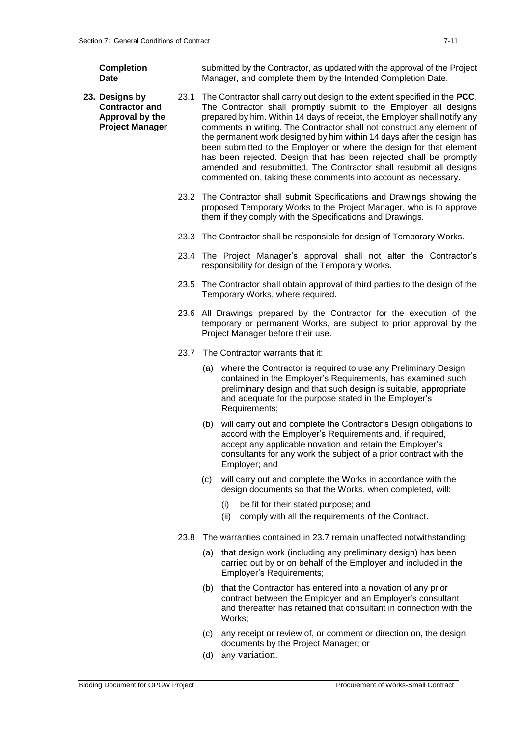**Completion Date**

submitted by the Contractor, as updated with the approval of the Project Manager, and complete them by the Intended Completion Date.

- **23. Designs by Contractor and Approval by the Project Manager** 23.1 The Contractor shall carry out design to the extent specified in the **PCC**. The Contractor shall promptly submit to the Employer all designs prepared by him. Within 14 days of receipt, the Employer shall notify any comments in writing. The Contractor shall not construct any element of the permanent work designed by him within 14 days after the design has been submitted to the Employer or where the design for that element has been rejected. Design that has been rejected shall be promptly amended and resubmitted. The Contractor shall resubmit all designs commented on, taking these comments into account as necessary.
	- 23.2 The Contractor shall submit Specifications and Drawings showing the proposed Temporary Works to the Project Manager, who is to approve them if they comply with the Specifications and Drawings.
	- 23.3 The Contractor shall be responsible for design of Temporary Works.
	- 23.4 The Project Manager's approval shall not alter the Contractor's responsibility for design of the Temporary Works.
	- 23.5 The Contractor shall obtain approval of third parties to the design of the Temporary Works, where required.
	- 23.6 All Drawings prepared by the Contractor for the execution of the temporary or permanent Works, are subject to prior approval by the Project Manager before their use.
	- 23.7 The Contractor warrants that it:
		- (a) where the Contractor is required to use any Preliminary Design contained in the Employer's Requirements, has examined such preliminary design and that such design is suitable, appropriate and adequate for the purpose stated in the Employer's Requirements;
		- (b) will carry out and complete the Contractor's Design obligations to accord with the Employer's Requirements and, if required, accept any applicable novation and retain the Employer's consultants for any work the subject of a prior contract with the Employer; and
		- (c) will carry out and complete the Works in accordance with the design documents so that the Works, when completed, will:
			- (i) be fit for their stated purpose; and
			- (ii) comply with all the requirements of the Contract.
	- 23.8 The warranties contained in 23.7 remain unaffected notwithstanding:
		- (a) that design work (including any preliminary design) has been carried out by or on behalf of the Employer and included in the Employer's Requirements;
		- (b) that the Contractor has entered into a novation of any prior contract between the Employer and an Employer's consultant and thereafter has retained that consultant in connection with the Works;
		- (c) any receipt or review of, or comment or direction on, the design documents by the Project Manager; or
		- (d) any variation.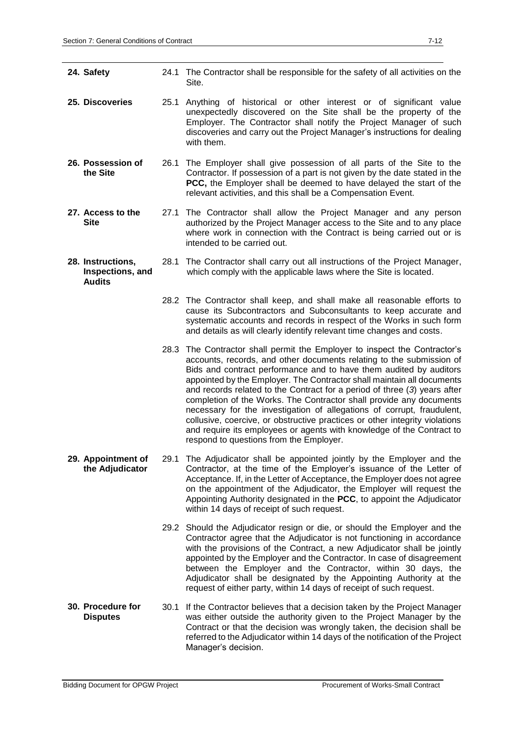| 24. Safety                                             |      | 24.1 The Contractor shall be responsible for the safety of all activities on the<br>Site.                                                                                                                                                                                                                                                                                                                                                                                                                                                                                                                                                                                                                                          |
|--------------------------------------------------------|------|------------------------------------------------------------------------------------------------------------------------------------------------------------------------------------------------------------------------------------------------------------------------------------------------------------------------------------------------------------------------------------------------------------------------------------------------------------------------------------------------------------------------------------------------------------------------------------------------------------------------------------------------------------------------------------------------------------------------------------|
| 25. Discoveries                                        | 25.1 | Anything of historical or other interest or of significant value<br>unexpectedly discovered on the Site shall be the property of the<br>Employer. The Contractor shall notify the Project Manager of such<br>discoveries and carry out the Project Manager's instructions for dealing<br>with them.                                                                                                                                                                                                                                                                                                                                                                                                                                |
| 26. Possession of<br>the Site                          |      | 26.1 The Employer shall give possession of all parts of the Site to the<br>Contractor. If possession of a part is not given by the date stated in the<br>PCC, the Employer shall be deemed to have delayed the start of the<br>relevant activities, and this shall be a Compensation Event.                                                                                                                                                                                                                                                                                                                                                                                                                                        |
| 27. Access to the<br><b>Site</b>                       |      | 27.1 The Contractor shall allow the Project Manager and any person<br>authorized by the Project Manager access to the Site and to any place<br>where work in connection with the Contract is being carried out or is<br>intended to be carried out.                                                                                                                                                                                                                                                                                                                                                                                                                                                                                |
| 28. Instructions,<br>Inspections, and<br><b>Audits</b> |      | 28.1 The Contractor shall carry out all instructions of the Project Manager,<br>which comply with the applicable laws where the Site is located.                                                                                                                                                                                                                                                                                                                                                                                                                                                                                                                                                                                   |
|                                                        |      | 28.2 The Contractor shall keep, and shall make all reasonable efforts to<br>cause its Subcontractors and Subconsultants to keep accurate and<br>systematic accounts and records in respect of the Works in such form<br>and details as will clearly identify relevant time changes and costs.                                                                                                                                                                                                                                                                                                                                                                                                                                      |
|                                                        |      | 28.3 The Contractor shall permit the Employer to inspect the Contractor's<br>accounts, records, and other documents relating to the submission of<br>Bids and contract performance and to have them audited by auditors<br>appointed by the Employer. The Contractor shall maintain all documents<br>and records related to the Contract for a period of three (3) years after<br>completion of the Works. The Contractor shall provide any documents<br>necessary for the investigation of allegations of corrupt, fraudulent,<br>collusive, coercive, or obstructive practices or other integrity violations<br>and require its employees or agents with knowledge of the Contract to<br>respond to questions from the Employer. |
| 29. Appointment of<br>the Adjudicator                  |      | 29.1 The Adjudicator shall be appointed jointly by the Employer and the<br>Contractor, at the time of the Employer's issuance of the Letter of<br>Acceptance. If, in the Letter of Acceptance, the Employer does not agree<br>on the appointment of the Adjudicator, the Employer will request the<br>Appointing Authority designated in the PCC, to appoint the Adjudicator<br>within 14 days of receipt of such request.                                                                                                                                                                                                                                                                                                         |
|                                                        |      | 29.2 Should the Adjudicator resign or die, or should the Employer and the<br>Contractor agree that the Adjudicator is not functioning in accordance<br>with the provisions of the Contract, a new Adjudicator shall be jointly<br>appointed by the Employer and the Contractor. In case of disagreement<br>between the Employer and the Contractor, within 30 days, the<br>Adjudicator shall be designated by the Appointing Authority at the<br>request of either party, within 14 days of receipt of such request.                                                                                                                                                                                                               |
| 30. Procedure for<br><b>Disputes</b>                   |      | 30.1 If the Contractor believes that a decision taken by the Project Manager<br>was either outside the authority given to the Project Manager by the<br>Contract or that the decision was wrongly taken, the decision shall be<br>referred to the Adjudicator within 14 days of the notification of the Project<br>Manager's decision.                                                                                                                                                                                                                                                                                                                                                                                             |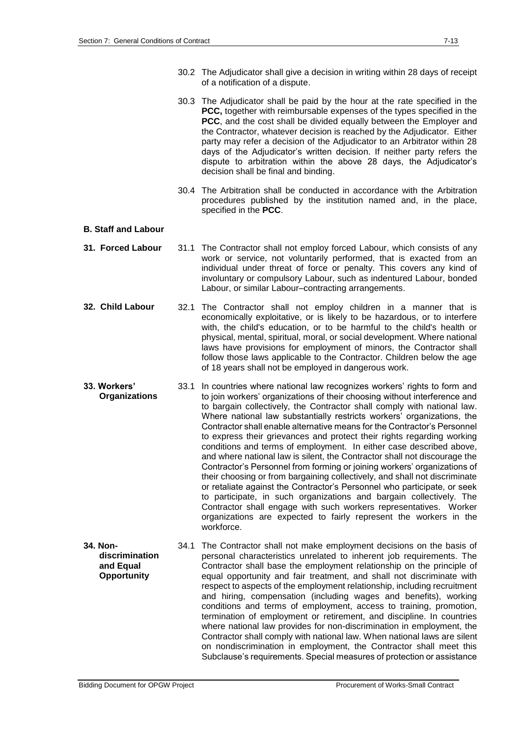- 30.2 The Adjudicator shall give a decision in writing within 28 days of receipt of a notification of a dispute.
- 30.3 The Adjudicator shall be paid by the hour at the rate specified in the **PCC,** together with reimbursable expenses of the types specified in the **PCC**, and the cost shall be divided equally between the Employer and the Contractor, whatever decision is reached by the Adjudicator. Either party may refer a decision of the Adjudicator to an Arbitrator within 28 days of the Adjudicator's written decision. If neither party refers the dispute to arbitration within the above 28 days, the Adjudicator's decision shall be final and binding.
- 30.4 The Arbitration shall be conducted in accordance with the Arbitration procedures published by the institution named and, in the place, specified in the **PCC**.

#### **B. Staff and Labour**

- **31. Forced Labour** 31.1 The Contractor shall not employ forced Labour, which consists of any work or service, not voluntarily performed, that is exacted from an individual under threat of force or penalty. This covers any kind of involuntary or compulsory Labour, such as indentured Labour, bonded Labour, or similar Labour–contracting arrangements.
- **32. Child Labour** 32.1 The Contractor shall not employ children in a manner that is economically exploitative, or is likely to be hazardous, or to interfere with, the child's education, or to be harmful to the child's health or physical, mental, spiritual, moral, or social development. Where national laws have provisions for employment of minors, the Contractor shall follow those laws applicable to the Contractor. Children below the age of 18 years shall not be employed in dangerous work.
- **33. Workers' Organizations** 33.1 In countries where national law recognizes workers' rights to form and to join workers' organizations of their choosing without interference and to bargain collectively, the Contractor shall comply with national law. Where national law substantially restricts workers' organizations, the Contractor shall enable alternative means for the Contractor's Personnel to express their grievances and protect their rights regarding working conditions and terms of employment. In either case described above, and where national law is silent, the Contractor shall not discourage the Contractor's Personnel from forming or joining workers' organizations of their choosing or from bargaining collectively, and shall not discriminate or retaliate against the Contractor's Personnel who participate, or seek to participate, in such organizations and bargain collectively. The Contractor shall engage with such workers representatives. Worker organizations are expected to fairly represent the workers in the workforce.
- **34. Nondiscrimination and Equal Opportunity** 34.1 The Contractor shall not make employment decisions on the basis of personal characteristics unrelated to inherent job requirements. The Contractor shall base the employment relationship on the principle of equal opportunity and fair treatment, and shall not discriminate with respect to aspects of the employment relationship, including recruitment and hiring, compensation (including wages and benefits), working conditions and terms of employment, access to training, promotion, termination of employment or retirement, and discipline. In countries where national law provides for non-discrimination in employment, the Contractor shall comply with national law. When national laws are silent on nondiscrimination in employment, the Contractor shall meet this Subclause's requirements. Special measures of protection or assistance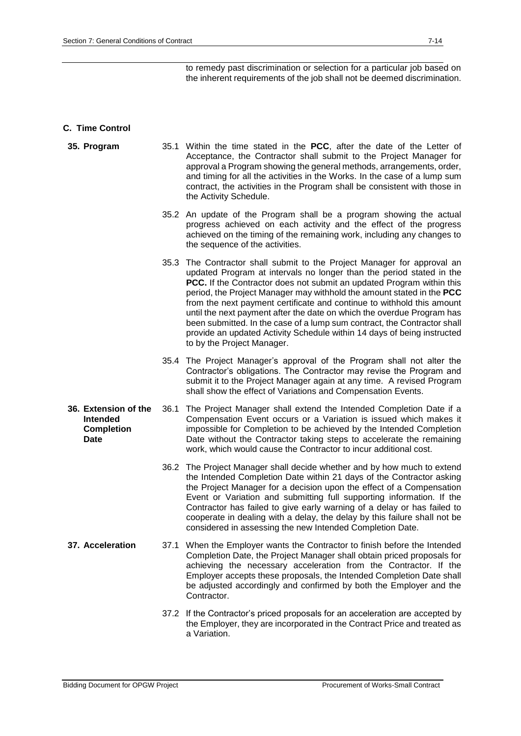to remedy past discrimination or selection for a particular job based on the inherent requirements of the job shall not be deemed discrimination.

## **C. Time Control**

- **35. Program** 35.1 Within the time stated in the **PCC**, after the date of the Letter of Acceptance, the Contractor shall submit to the Project Manager for approval a Program showing the general methods, arrangements, order, and timing for all the activities in the Works. In the case of a lump sum contract, the activities in the Program shall be consistent with those in the Activity Schedule.
	- 35.2 An update of the Program shall be a program showing the actual progress achieved on each activity and the effect of the progress achieved on the timing of the remaining work, including any changes to the sequence of the activities.
	- 35.3 The Contractor shall submit to the Project Manager for approval an updated Program at intervals no longer than the period stated in the **PCC.** If the Contractor does not submit an updated Program within this period, the Project Manager may withhold the amount stated in the **PCC** from the next payment certificate and continue to withhold this amount until the next payment after the date on which the overdue Program has been submitted. In the case of a lump sum contract, the Contractor shall provide an updated Activity Schedule within 14 days of being instructed to by the Project Manager.
	- 35.4 The Project Manager's approval of the Program shall not alter the Contractor's obligations. The Contractor may revise the Program and submit it to the Project Manager again at any time. A revised Program shall show the effect of Variations and Compensation Events.
- **36. Extension of the Intended Completion Date** 36.1 The Project Manager shall extend the Intended Completion Date if a Compensation Event occurs or a Variation is issued which makes it impossible for Completion to be achieved by the Intended Completion Date without the Contractor taking steps to accelerate the remaining work, which would cause the Contractor to incur additional cost.
	- 36.2 The Project Manager shall decide whether and by how much to extend the Intended Completion Date within 21 days of the Contractor asking the Project Manager for a decision upon the effect of a Compensation Event or Variation and submitting full supporting information. If the Contractor has failed to give early warning of a delay or has failed to cooperate in dealing with a delay, the delay by this failure shall not be considered in assessing the new Intended Completion Date.
- **37. Acceleration** 37.1 When the Employer wants the Contractor to finish before the Intended Completion Date, the Project Manager shall obtain priced proposals for achieving the necessary acceleration from the Contractor. If the Employer accepts these proposals, the Intended Completion Date shall be adjusted accordingly and confirmed by both the Employer and the Contractor.
	- 37.2 If the Contractor's priced proposals for an acceleration are accepted by the Employer, they are incorporated in the Contract Price and treated as a Variation.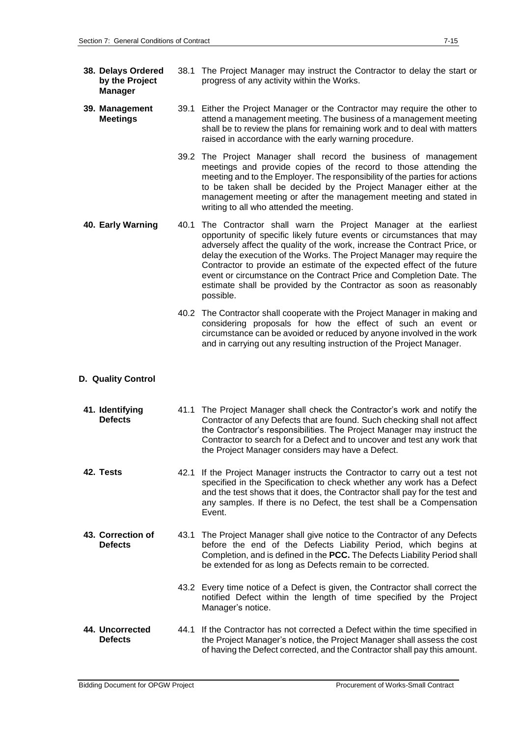- **38. Delays Ordered by the Project Manager** 38.1 The Project Manager may instruct the Contractor to delay the start or progress of any activity within the Works.
- **39. Management Meetings** 39.1 Either the Project Manager or the Contractor may require the other to attend a management meeting. The business of a management meeting shall be to review the plans for remaining work and to deal with matters raised in accordance with the early warning procedure.
	- 39.2 The Project Manager shall record the business of management meetings and provide copies of the record to those attending the meeting and to the Employer. The responsibility of the parties for actions to be taken shall be decided by the Project Manager either at the management meeting or after the management meeting and stated in writing to all who attended the meeting.
- **40. Early Warning** 40.1 The Contractor shall warn the Project Manager at the earliest opportunity of specific likely future events or circumstances that may adversely affect the quality of the work, increase the Contract Price, or delay the execution of the Works. The Project Manager may require the Contractor to provide an estimate of the expected effect of the future event or circumstance on the Contract Price and Completion Date. The estimate shall be provided by the Contractor as soon as reasonably possible.
	- 40.2 The Contractor shall cooperate with the Project Manager in making and considering proposals for how the effect of such an event or circumstance can be avoided or reduced by anyone involved in the work and in carrying out any resulting instruction of the Project Manager.
- **D. Quality Control**
- **41. Identifying Defects** 41.1 The Project Manager shall check the Contractor's work and notify the Contractor of any Defects that are found. Such checking shall not affect the Contractor's responsibilities. The Project Manager may instruct the Contractor to search for a Defect and to uncover and test any work that the Project Manager considers may have a Defect.
- **42. Tests** 42.1 If the Project Manager instructs the Contractor to carry out a test not specified in the Specification to check whether any work has a Defect and the test shows that it does, the Contractor shall pay for the test and any samples. If there is no Defect, the test shall be a Compensation Event.
- **43. Correction of Defects** 43.1 The Project Manager shall give notice to the Contractor of any Defects before the end of the Defects Liability Period, which begins at Completion, and is defined in the **PCC.** The Defects Liability Period shall be extended for as long as Defects remain to be corrected.
	- 43.2 Every time notice of a Defect is given, the Contractor shall correct the notified Defect within the length of time specified by the Project Manager's notice.
- **44. Uncorrected Defects** 44.1 If the Contractor has not corrected a Defect within the time specified in the Project Manager's notice, the Project Manager shall assess the cost of having the Defect corrected, and the Contractor shall pay this amount.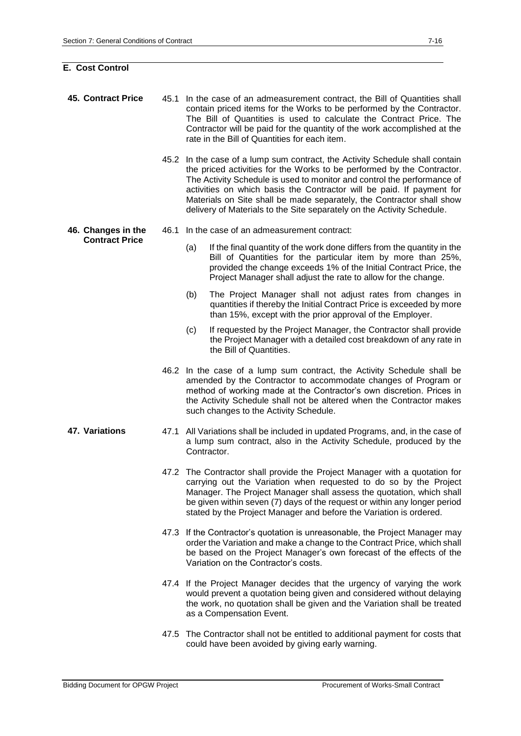# **E. Cost Control**

| <b>45. Contract Price</b> |      | 45.1 In the case of an admeasurement contract, the Bill of Quantities shall<br>contain priced items for the Works to be performed by the Contractor.<br>The Bill of Quantities is used to calculate the Contract Price. The<br>Contractor will be paid for the quantity of the work accomplished at the<br>rate in the Bill of Quantities for each item.                                                                                                      |  |  |  |
|---------------------------|------|---------------------------------------------------------------------------------------------------------------------------------------------------------------------------------------------------------------------------------------------------------------------------------------------------------------------------------------------------------------------------------------------------------------------------------------------------------------|--|--|--|
|                           |      | 45.2 In the case of a lump sum contract, the Activity Schedule shall contain<br>the priced activities for the Works to be performed by the Contractor.<br>The Activity Schedule is used to monitor and control the performance of<br>activities on which basis the Contractor will be paid. If payment for<br>Materials on Site shall be made separately, the Contractor shall show<br>delivery of Materials to the Site separately on the Activity Schedule. |  |  |  |
| 46. Changes in the        | 46.1 | In the case of an admeasurement contract:                                                                                                                                                                                                                                                                                                                                                                                                                     |  |  |  |
| <b>Contract Price</b>     |      | (a)<br>If the final quantity of the work done differs from the quantity in the<br>Bill of Quantities for the particular item by more than 25%,<br>provided the change exceeds 1% of the Initial Contract Price, the<br>Project Manager shall adjust the rate to allow for the change.                                                                                                                                                                         |  |  |  |
|                           |      | (b)<br>The Project Manager shall not adjust rates from changes in<br>quantities if thereby the Initial Contract Price is exceeded by more<br>than 15%, except with the prior approval of the Employer.                                                                                                                                                                                                                                                        |  |  |  |
|                           |      | If requested by the Project Manager, the Contractor shall provide<br>(c)<br>the Project Manager with a detailed cost breakdown of any rate in<br>the Bill of Quantities.                                                                                                                                                                                                                                                                                      |  |  |  |
|                           |      | 46.2 In the case of a lump sum contract, the Activity Schedule shall be<br>amended by the Contractor to accommodate changes of Program or<br>method of working made at the Contractor's own discretion. Prices in<br>the Activity Schedule shall not be altered when the Contractor makes<br>such changes to the Activity Schedule.                                                                                                                           |  |  |  |
| 47. Variations            | 47.1 | All Variations shall be included in updated Programs, and, in the case of<br>a lump sum contract, also in the Activity Schedule, produced by the<br>Contractor.                                                                                                                                                                                                                                                                                               |  |  |  |
|                           |      | 47.2 The Contractor shall provide the Project Manager with a quotation for<br>carrying out the Variation when requested to do so by the Project<br>Manager. The Project Manager shall assess the quotation, which shall<br>be given within seven (7) days of the request or within any longer period<br>stated by the Project Manager and before the Variation is ordered.                                                                                    |  |  |  |
|                           |      | 47.3 If the Contractor's quotation is unreasonable, the Project Manager may<br>order the Variation and make a change to the Contract Price, which shall<br>be based on the Project Manager's own forecast of the effects of the<br>Variation on the Contractor's costs.                                                                                                                                                                                       |  |  |  |
|                           |      | 47.4 If the Project Manager decides that the urgency of varying the work<br>would prevent a quotation being given and considered without delaying<br>the work, no quotation shall be given and the Variation shall be treated<br>as a Compensation Event.                                                                                                                                                                                                     |  |  |  |
|                           |      | 47.5 The Contractor shall not be entitled to additional payment for costs that<br>could have been avoided by giving early warning.                                                                                                                                                                                                                                                                                                                            |  |  |  |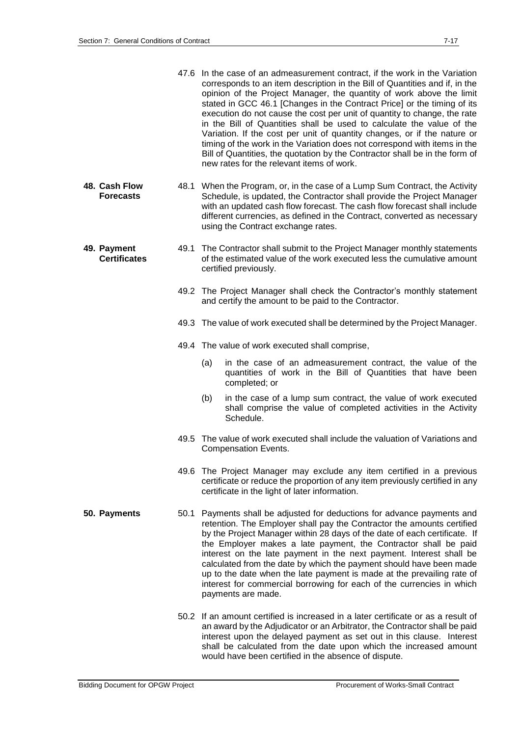|                                    |      | 47.6 In the case of an admeasurement contract, if the work in the Variation<br>corresponds to an item description in the Bill of Quantities and if, in the<br>opinion of the Project Manager, the quantity of work above the limit<br>stated in GCC 46.1 [Changes in the Contract Price] or the timing of its<br>execution do not cause the cost per unit of quantity to change, the rate<br>in the Bill of Quantities shall be used to calculate the value of the<br>Variation. If the cost per unit of quantity changes, or if the nature or<br>timing of the work in the Variation does not correspond with items in the<br>Bill of Quantities, the quotation by the Contractor shall be in the form of<br>new rates for the relevant items of work. |
|------------------------------------|------|---------------------------------------------------------------------------------------------------------------------------------------------------------------------------------------------------------------------------------------------------------------------------------------------------------------------------------------------------------------------------------------------------------------------------------------------------------------------------------------------------------------------------------------------------------------------------------------------------------------------------------------------------------------------------------------------------------------------------------------------------------|
| 48. Cash Flow<br><b>Forecasts</b>  |      | 48.1 When the Program, or, in the case of a Lump Sum Contract, the Activity<br>Schedule, is updated, the Contractor shall provide the Project Manager<br>with an updated cash flow forecast. The cash flow forecast shall include<br>different currencies, as defined in the Contract, converted as necessary<br>using the Contract exchange rates.                                                                                                                                                                                                                                                                                                                                                                                                     |
| 49. Payment<br><b>Certificates</b> |      | 49.1 The Contractor shall submit to the Project Manager monthly statements<br>of the estimated value of the work executed less the cumulative amount<br>certified previously.                                                                                                                                                                                                                                                                                                                                                                                                                                                                                                                                                                           |
|                                    |      | 49.2 The Project Manager shall check the Contractor's monthly statement<br>and certify the amount to be paid to the Contractor.                                                                                                                                                                                                                                                                                                                                                                                                                                                                                                                                                                                                                         |
|                                    |      | 49.3 The value of work executed shall be determined by the Project Manager.                                                                                                                                                                                                                                                                                                                                                                                                                                                                                                                                                                                                                                                                             |
|                                    |      | 49.4 The value of work executed shall comprise,                                                                                                                                                                                                                                                                                                                                                                                                                                                                                                                                                                                                                                                                                                         |
|                                    |      | (a)<br>in the case of an admeasurement contract, the value of the<br>quantities of work in the Bill of Quantities that have been<br>completed; or                                                                                                                                                                                                                                                                                                                                                                                                                                                                                                                                                                                                       |
|                                    |      | (b)<br>in the case of a lump sum contract, the value of work executed<br>shall comprise the value of completed activities in the Activity<br>Schedule.                                                                                                                                                                                                                                                                                                                                                                                                                                                                                                                                                                                                  |
|                                    |      | 49.5 The value of work executed shall include the valuation of Variations and<br><b>Compensation Events.</b>                                                                                                                                                                                                                                                                                                                                                                                                                                                                                                                                                                                                                                            |
|                                    |      | 49.6 The Project Manager may exclude any item certified in a previous<br>certificate or reduce the proportion of any item previously certified in any<br>certificate in the light of later information.                                                                                                                                                                                                                                                                                                                                                                                                                                                                                                                                                 |
| 50. Payments                       | 50.1 | Payments shall be adjusted for deductions for advance payments and<br>retention. The Employer shall pay the Contractor the amounts certified<br>by the Project Manager within 28 days of the date of each certificate. If<br>the Employer makes a late payment, the Contractor shall be paid<br>interest on the late payment in the next payment. Interest shall be<br>calculated from the date by which the payment should have been made<br>up to the date when the late payment is made at the prevailing rate of<br>interest for commercial borrowing for each of the currencies in which<br>payments are made.                                                                                                                                     |
|                                    |      | 50.2 If an amount certified is increased in a later certificate or as a result of<br>an award by the Adjudicator or an Arbitrator, the Contractor shall be paid<br>interest upon the delayed payment as set out in this clause. Interest<br>shall be calculated from the date upon which the increased amount<br>would have been certified in the absence of dispute.                                                                                                                                                                                                                                                                                                                                                                                   |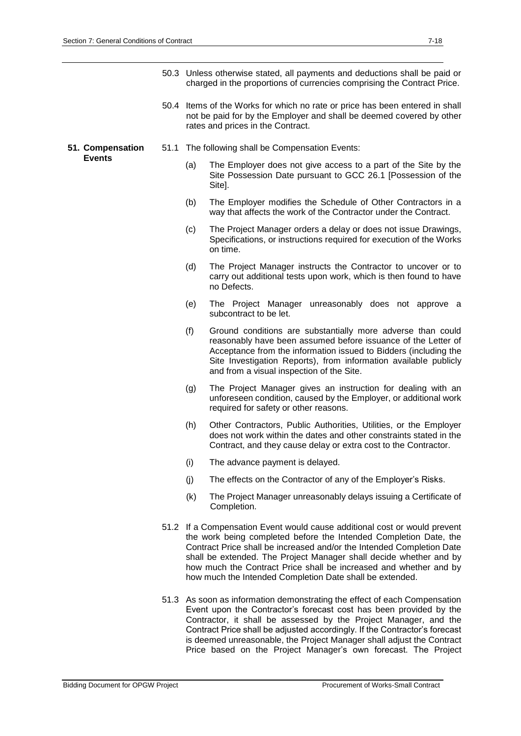|                  |      |     | 50.3 Unless otherwise stated, all payments and deductions shall be paid or<br>charged in the proportions of currencies comprising the Contract Price.                                                                                                                                                                                                                                                                          |
|------------------|------|-----|--------------------------------------------------------------------------------------------------------------------------------------------------------------------------------------------------------------------------------------------------------------------------------------------------------------------------------------------------------------------------------------------------------------------------------|
|                  |      |     | 50.4 Items of the Works for which no rate or price has been entered in shall<br>not be paid for by the Employer and shall be deemed covered by other<br>rates and prices in the Contract.                                                                                                                                                                                                                                      |
| 51. Compensation | 51.1 |     | The following shall be Compensation Events:                                                                                                                                                                                                                                                                                                                                                                                    |
| <b>Events</b>    |      | (a) | The Employer does not give access to a part of the Site by the<br>Site Possession Date pursuant to GCC 26.1 [Possession of the<br>Site].                                                                                                                                                                                                                                                                                       |
|                  |      | (b) | The Employer modifies the Schedule of Other Contractors in a<br>way that affects the work of the Contractor under the Contract.                                                                                                                                                                                                                                                                                                |
|                  |      | (c) | The Project Manager orders a delay or does not issue Drawings,<br>Specifications, or instructions required for execution of the Works<br>on time.                                                                                                                                                                                                                                                                              |
|                  |      | (d) | The Project Manager instructs the Contractor to uncover or to<br>carry out additional tests upon work, which is then found to have<br>no Defects.                                                                                                                                                                                                                                                                              |
|                  |      | (e) | The Project Manager unreasonably does not approve a<br>subcontract to be let.                                                                                                                                                                                                                                                                                                                                                  |
|                  |      | (f) | Ground conditions are substantially more adverse than could<br>reasonably have been assumed before issuance of the Letter of<br>Acceptance from the information issued to Bidders (including the<br>Site Investigation Reports), from information available publicly<br>and from a visual inspection of the Site.                                                                                                              |
|                  |      | (g) | The Project Manager gives an instruction for dealing with an<br>unforeseen condition, caused by the Employer, or additional work<br>required for safety or other reasons.                                                                                                                                                                                                                                                      |
|                  |      | (h) | Other Contractors, Public Authorities, Utilities, or the Employer<br>does not work within the dates and other constraints stated in the<br>Contract, and they cause delay or extra cost to the Contractor.                                                                                                                                                                                                                     |
|                  |      | (i) | The advance payment is delayed.                                                                                                                                                                                                                                                                                                                                                                                                |
|                  |      | (j) | The effects on the Contractor of any of the Employer's Risks.                                                                                                                                                                                                                                                                                                                                                                  |
|                  |      | (k) | The Project Manager unreasonably delays issuing a Certificate of<br>Completion.                                                                                                                                                                                                                                                                                                                                                |
|                  |      |     | 51.2 If a Compensation Event would cause additional cost or would prevent<br>the work being completed before the Intended Completion Date, the<br>Contract Price shall be increased and/or the Intended Completion Date<br>shall be extended. The Project Manager shall decide whether and by<br>how much the Contract Price shall be increased and whether and by<br>how much the Intended Completion Date shall be extended. |
|                  |      |     | 51.3 As soon as information demonstrating the effect of each Compensation<br>Event upon the Contractor's forecast cost has been provided by the<br>Contractor it shall be assessed by the Project Manager, and the                                                                                                                                                                                                             |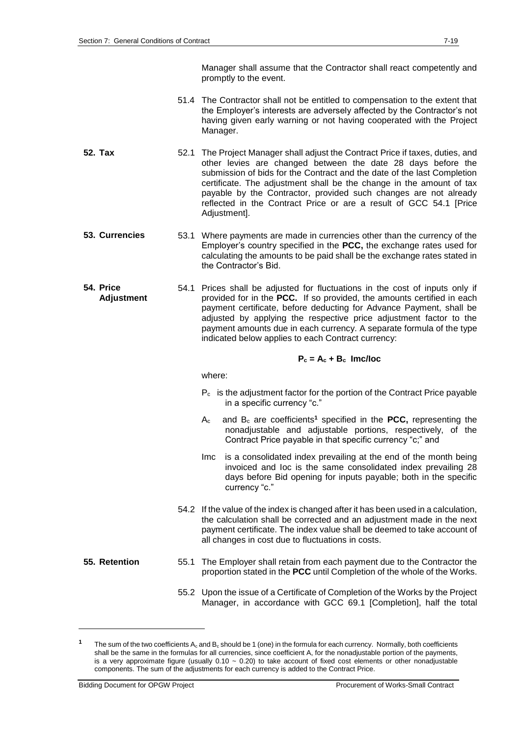Manager shall assume that the Contractor shall react competently and promptly to the event.

- 51.4 The Contractor shall not be entitled to compensation to the extent that the Employer's interests are adversely affected by the Contractor's not having given early warning or not having cooperated with the Project Manager.
- **52. Tax** 52.1 The Project Manager shall adjust the Contract Price if taxes, duties, and other levies are changed between the date 28 days before the submission of bids for the Contract and the date of the last Completion certificate. The adjustment shall be the change in the amount of tax payable by the Contractor, provided such changes are not already reflected in the Contract Price or are a result of GCC 54.1 [Price Adjustment].
- **53. Currencies** 53.1 Where payments are made in currencies other than the currency of the Employer's country specified in the **PCC,** the exchange rates used for calculating the amounts to be paid shall be the exchange rates stated in the Contractor's Bid.
- **54. Price Adjustment** 54.1 Prices shall be adjusted for fluctuations in the cost of inputs only if provided for in the **PCC.** If so provided, the amounts certified in each payment certificate, before deducting for Advance Payment, shall be adjusted by applying the respective price adjustment factor to the payment amounts due in each currency. A separate formula of the type indicated below applies to each Contract currency:

## $P_c = A_c + B_c$ **Imc/Ioc**

where:

- $P_c$  is the adjustment factor for the portion of the Contract Price payable in a specific currency "c."
- Ac and B<sup>c</sup> are coefficients**<sup>1</sup>** specified in the **PCC,** representing the nonadjustable and adjustable portions, respectively, of the Contract Price payable in that specific currency "c;" and
- Imc is a consolidated index prevailing at the end of the month being invoiced and Ioc is the same consolidated index prevailing 28 days before Bid opening for inputs payable; both in the specific currency "c."
- 54.2 If the value of the index is changed after it has been used in a calculation, the calculation shall be corrected and an adjustment made in the next payment certificate. The index value shall be deemed to take account of all changes in cost due to fluctuations in costs.
- 

1

- **55. Retention** 55.1 The Employer shall retain from each payment due to the Contractor the proportion stated in the **PCC** until Completion of the whole of the Works.
	- 55.2 Upon the issue of a Certificate of Completion of the Works by the Project Manager, in accordance with GCC 69.1 [Completion], half the total

The sum of the two coefficients  $A_c$  and  $B_c$  should be 1 (one) in the formula for each currency. Normally, both coefficients shall be the same in the formulas for all currencies, since coefficient A, for the nonadjustable portion of the payments, is a very approximate figure (usually  $0.10 \sim 0.20$ ) to take account of fixed cost elements or other nonadjustable components. The sum of the adjustments for each currency is added to the Contract Price.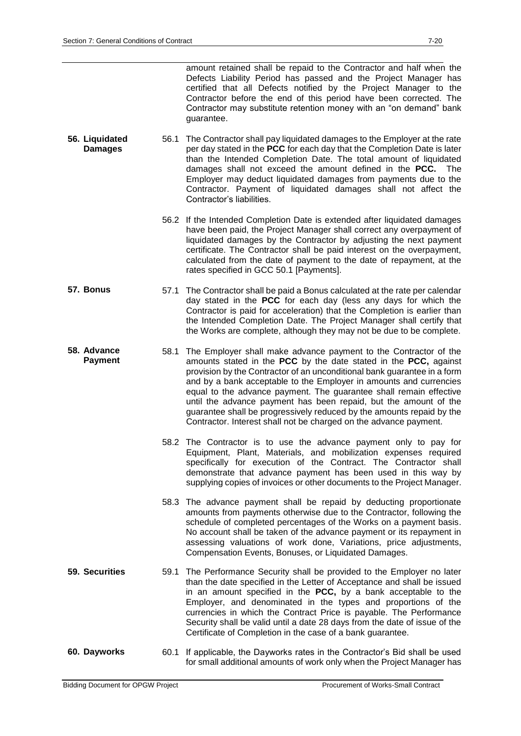amount retained shall be repaid to the Contractor and half when the Defects Liability Period has passed and the Project Manager has certified that all Defects notified by the Project Manager to the Contractor before the end of this period have been corrected. The Contractor may substitute retention money with an "on demand" bank guarantee.

- **56. Liquidated Damages** 56.1 The Contractor shall pay liquidated damages to the Employer at the rate per day stated in the **PCC** for each day that the Completion Date is later than the Intended Completion Date. The total amount of liquidated damages shall not exceed the amount defined in the **PCC.** The Employer may deduct liquidated damages from payments due to the Contractor. Payment of liquidated damages shall not affect the Contractor's liabilities.
	- 56.2 If the Intended Completion Date is extended after liquidated damages have been paid, the Project Manager shall correct any overpayment of liquidated damages by the Contractor by adjusting the next payment certificate. The Contractor shall be paid interest on the overpayment, calculated from the date of payment to the date of repayment, at the rates specified in GCC 50.1 [Payments].
- **57. Bonus** 57.1 The Contractor shall be paid a Bonus calculated at the rate per calendar day stated in the **PCC** for each day (less any days for which the Contractor is paid for acceleration) that the Completion is earlier than the Intended Completion Date. The Project Manager shall certify that the Works are complete, although they may not be due to be complete.
- **58. Advance Payment** 58.1 The Employer shall make advance payment to the Contractor of the amounts stated in the **PCC** by the date stated in the **PCC,** against provision by the Contractor of an unconditional bank guarantee in a form and by a bank acceptable to the Employer in amounts and currencies equal to the advance payment. The guarantee shall remain effective until the advance payment has been repaid, but the amount of the guarantee shall be progressively reduced by the amounts repaid by the Contractor. Interest shall not be charged on the advance payment.
	- 58.2 The Contractor is to use the advance payment only to pay for Equipment, Plant, Materials, and mobilization expenses required specifically for execution of the Contract. The Contractor shall demonstrate that advance payment has been used in this way by supplying copies of invoices or other documents to the Project Manager.
	- 58.3 The advance payment shall be repaid by deducting proportionate amounts from payments otherwise due to the Contractor, following the schedule of completed percentages of the Works on a payment basis. No account shall be taken of the advance payment or its repayment in assessing valuations of work done, Variations, price adjustments, Compensation Events, Bonuses, or Liquidated Damages.
- **59. Securities** 59.1 The Performance Security shall be provided to the Employer no later than the date specified in the Letter of Acceptance and shall be issued in an amount specified in the **PCC,** by a bank acceptable to the Employer, and denominated in the types and proportions of the currencies in which the Contract Price is payable. The Performance Security shall be valid until a date 28 days from the date of issue of the Certificate of Completion in the case of a bank guarantee.
- **60. Dayworks** 60.1 If applicable, the Dayworks rates in the Contractor's Bid shall be used for small additional amounts of work only when the Project Manager has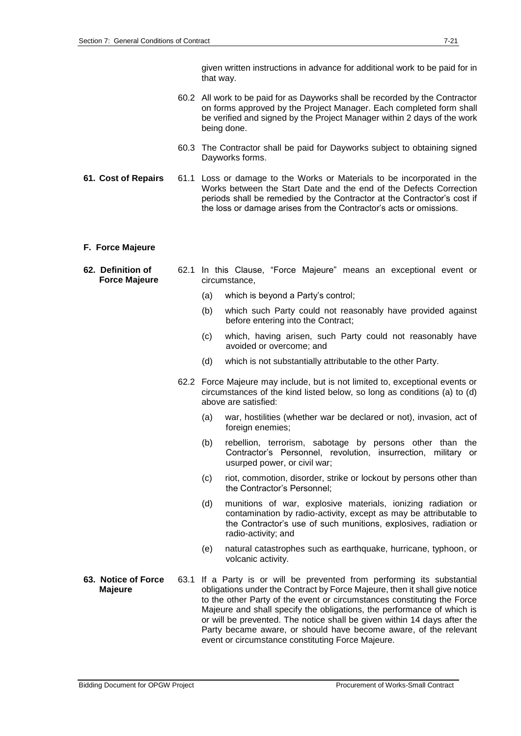given written instructions in advance for additional work to be paid for in that way.

- 60.2 All work to be paid for as Dayworks shall be recorded by the Contractor on forms approved by the Project Manager. Each completed form shall be verified and signed by the Project Manager within 2 days of the work being done.
- 60.3 The Contractor shall be paid for Dayworks subject to obtaining signed Dayworks forms.
- **61. Cost of Repairs** 61.1 Loss or damage to the Works or Materials to be incorporated in the Works between the Start Date and the end of the Defects Correction periods shall be remedied by the Contractor at the Contractor's cost if the loss or damage arises from the Contractor's acts or omissions.

#### **F. Force Majeure**

- **62. Definition of Force Majeure** 62.1 In this Clause, "Force Majeure" means an exceptional event or circumstance,
	- (a) which is beyond a Party's control;
	- (b) which such Party could not reasonably have provided against before entering into the Contract;
	- (c) which, having arisen, such Party could not reasonably have avoided or overcome; and
	- (d) which is not substantially attributable to the other Party.
	- 62.2 Force Majeure may include, but is not limited to, exceptional events or circumstances of the kind listed below, so long as conditions (a) to (d) above are satisfied:
		- (a) war, hostilities (whether war be declared or not), invasion, act of foreign enemies;
		- (b) rebellion, terrorism, sabotage by persons other than the Contractor's Personnel, revolution, insurrection, military or usurped power, or civil war;
		- (c) riot, commotion, disorder, strike or lockout by persons other than the Contractor's Personnel;
		- (d) munitions of war, explosive materials, ionizing radiation or contamination by radio-activity, except as may be attributable to the Contractor's use of such munitions, explosives, radiation or radio-activity; and
		- (e) natural catastrophes such as earthquake, hurricane, typhoon, or volcanic activity.
- **63. Notice of Force Majeure** 63.1 If a Party is or will be prevented from performing its substantial obligations under the Contract by Force Majeure, then it shall give notice to the other Party of the event or circumstances constituting the Force Majeure and shall specify the obligations, the performance of which is or will be prevented. The notice shall be given within 14 days after the Party became aware, or should have become aware, of the relevant event or circumstance constituting Force Majeure.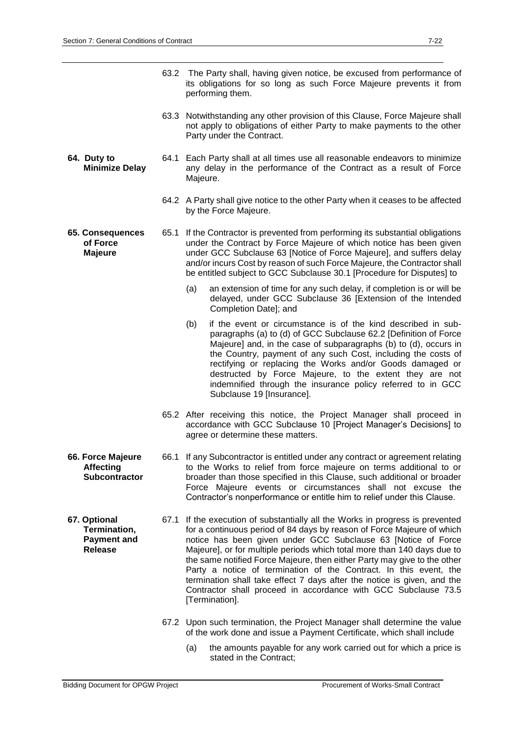|                                                                      | 63.2 The Party shall, having given notice, be excused from performance of<br>its obligations for so long as such Force Majeure prevents it from<br>performing them.                                                                                                                                                                                                                                                                                                                                                                                                                                                 |  |  |  |  |
|----------------------------------------------------------------------|---------------------------------------------------------------------------------------------------------------------------------------------------------------------------------------------------------------------------------------------------------------------------------------------------------------------------------------------------------------------------------------------------------------------------------------------------------------------------------------------------------------------------------------------------------------------------------------------------------------------|--|--|--|--|
|                                                                      | 63.3 Notwithstanding any other provision of this Clause, Force Majeure shall<br>not apply to obligations of either Party to make payments to the other<br>Party under the Contract.                                                                                                                                                                                                                                                                                                                                                                                                                                 |  |  |  |  |
| 64. Duty to<br><b>Minimize Delay</b>                                 | 64.1 Each Party shall at all times use all reasonable endeavors to minimize<br>any delay in the performance of the Contract as a result of Force<br>Majeure.                                                                                                                                                                                                                                                                                                                                                                                                                                                        |  |  |  |  |
|                                                                      | 64.2 A Party shall give notice to the other Party when it ceases to be affected<br>by the Force Majeure.                                                                                                                                                                                                                                                                                                                                                                                                                                                                                                            |  |  |  |  |
| 65. Consequences<br>of Force<br><b>Majeure</b>                       | 65.1 If the Contractor is prevented from performing its substantial obligations<br>under the Contract by Force Majeure of which notice has been given<br>under GCC Subclause 63 [Notice of Force Majeure], and suffers delay<br>and/or incurs Cost by reason of such Force Majeure, the Contractor shall<br>be entitled subject to GCC Subclause 30.1 [Procedure for Disputes] to                                                                                                                                                                                                                                   |  |  |  |  |
|                                                                      | an extension of time for any such delay, if completion is or will be<br>(a)<br>delayed, under GCC Subclause 36 [Extension of the Intended<br>Completion Date]; and                                                                                                                                                                                                                                                                                                                                                                                                                                                  |  |  |  |  |
|                                                                      | if the event or circumstance is of the kind described in sub-<br>(b)<br>paragraphs (a) to (d) of GCC Subclause 62.2 [Definition of Force<br>Majeure] and, in the case of subparagraphs (b) to (d), occurs in<br>the Country, payment of any such Cost, including the costs of<br>rectifying or replacing the Works and/or Goods damaged or<br>destructed by Force Majeure, to the extent they are not<br>indemnified through the insurance policy referred to in GCC<br>Subclause 19 [Insurance].                                                                                                                   |  |  |  |  |
|                                                                      | 65.2 After receiving this notice, the Project Manager shall proceed in<br>accordance with GCC Subclause 10 [Project Manager's Decisions] to<br>agree or determine these matters.                                                                                                                                                                                                                                                                                                                                                                                                                                    |  |  |  |  |
| 66. Force Majeure<br><b>Affecting</b><br>Subcontractor               | 66.1 If any Subcontractor is entitled under any contract or agreement relating<br>to the Works to relief from force majeure on terms additional to or<br>broader than those specified in this Clause, such additional or broader<br>Force Majeure events or circumstances shall not excuse the<br>Contractor's nonperformance or entitle him to relief under this Clause.                                                                                                                                                                                                                                           |  |  |  |  |
| 67. Optional<br>Termination,<br><b>Payment and</b><br><b>Release</b> | 67.1 If the execution of substantially all the Works in progress is prevented<br>for a continuous period of 84 days by reason of Force Majeure of which<br>notice has been given under GCC Subclause 63 [Notice of Force<br>Majeure], or for multiple periods which total more than 140 days due to<br>the same notified Force Majeure, then either Party may give to the other<br>Party a notice of termination of the Contract. In this event, the<br>termination shall take effect 7 days after the notice is given, and the<br>Contractor shall proceed in accordance with GCC Subclause 73.5<br>[Termination]. |  |  |  |  |
|                                                                      | 67.2 Upon such termination, the Project Manager shall determine the value<br>of the work done and issue a Payment Certificate, which shall include                                                                                                                                                                                                                                                                                                                                                                                                                                                                  |  |  |  |  |
|                                                                      | (a)<br>the amounts payable for any work carried out for which a price is<br>stated in the Contract;                                                                                                                                                                                                                                                                                                                                                                                                                                                                                                                 |  |  |  |  |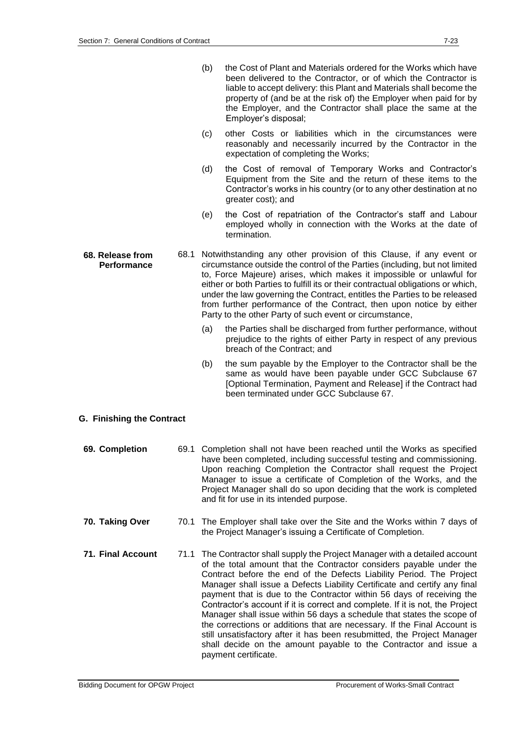| (b) | the Cost of Plant and Materials ordered for the Works which have     |
|-----|----------------------------------------------------------------------|
|     | been delivered to the Contractor, or of which the Contractor is      |
|     | liable to accept delivery: this Plant and Materials shall become the |
|     | property of (and be at the risk of) the Employer when paid for by    |
|     | the Employer, and the Contractor shall place the same at the         |
|     | Employer's disposal;                                                 |

- (c) other Costs or liabilities which in the circumstances were reasonably and necessarily incurred by the Contractor in the expectation of completing the Works;
- (d) the Cost of removal of Temporary Works and Contractor's Equipment from the Site and the return of these items to the Contractor's works in his country (or to any other destination at no greater cost); and
- (e) the Cost of repatriation of the Contractor's staff and Labour employed wholly in connection with the Works at the date of termination.
- **68. Release from Performance** 68.1 Notwithstanding any other provision of this Clause, if any event or circumstance outside the control of the Parties (including, but not limited to, Force Majeure) arises, which makes it impossible or unlawful for either or both Parties to fulfill its or their contractual obligations or which, under the law governing the Contract, entitles the Parties to be released from further performance of the Contract, then upon notice by either Party to the other Party of such event or circumstance,
	- (a) the Parties shall be discharged from further performance, without prejudice to the rights of either Party in respect of any previous breach of the Contract; and
	- (b) the sum payable by the Employer to the Contractor shall be the same as would have been payable under GCC Subclause 67 [Optional Termination, Payment and Release] if the Contract had been terminated under GCC Subclause 67.

#### **G. Finishing the Contract**

- **69. Completion** 69.1 Completion shall not have been reached until the Works as specified have been completed, including successful testing and commissioning. Upon reaching Completion the Contractor shall request the Project Manager to issue a certificate of Completion of the Works, and the Project Manager shall do so upon deciding that the work is completed and fit for use in its intended purpose.
- **70. Taking Over** 70.1 The Employer shall take over the Site and the Works within 7 days of the Project Manager's issuing a Certificate of Completion.
- **71. Final Account** 71.1 The Contractor shall supply the Project Manager with a detailed account of the total amount that the Contractor considers payable under the Contract before the end of the Defects Liability Period. The Project Manager shall issue a Defects Liability Certificate and certify any final payment that is due to the Contractor within 56 days of receiving the Contractor's account if it is correct and complete. If it is not, the Project Manager shall issue within 56 days a schedule that states the scope of the corrections or additions that are necessary. If the Final Account is still unsatisfactory after it has been resubmitted, the Project Manager shall decide on the amount payable to the Contractor and issue a payment certificate.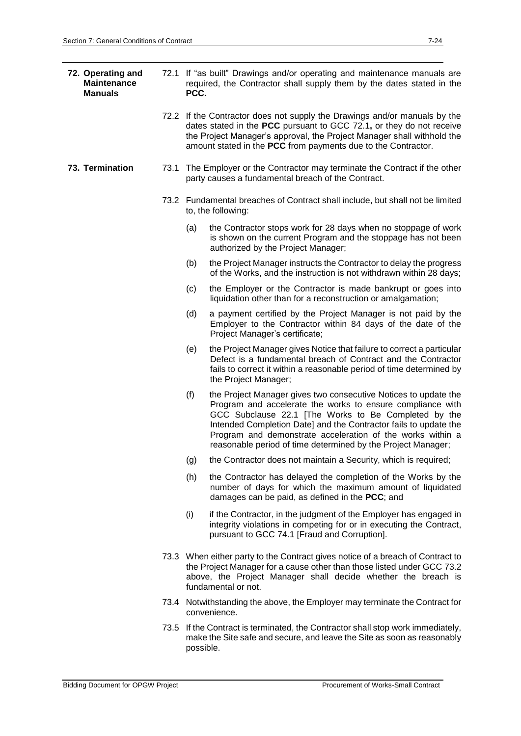| 72. Operating and<br><b>Maintenance</b><br><b>Manuals</b> |      | 72.1 If "as built" Drawings and/or operating and maintenance manuals are<br>required, the Contractor shall supply them by the dates stated in the<br>PCC.                                                                                                                                    |                                                                                                                                                                                                                                                                                                                                                                                         |  |
|-----------------------------------------------------------|------|----------------------------------------------------------------------------------------------------------------------------------------------------------------------------------------------------------------------------------------------------------------------------------------------|-----------------------------------------------------------------------------------------------------------------------------------------------------------------------------------------------------------------------------------------------------------------------------------------------------------------------------------------------------------------------------------------|--|
|                                                           |      | 72.2 If the Contractor does not supply the Drawings and/or manuals by the<br>dates stated in the PCC pursuant to GCC 72.1, or they do not receive<br>the Project Manager's approval, the Project Manager shall withhold the<br>amount stated in the PCC from payments due to the Contractor. |                                                                                                                                                                                                                                                                                                                                                                                         |  |
| 73. Termination                                           | 73.1 | The Employer or the Contractor may terminate the Contract if the other<br>party causes a fundamental breach of the Contract.                                                                                                                                                                 |                                                                                                                                                                                                                                                                                                                                                                                         |  |
|                                                           |      |                                                                                                                                                                                                                                                                                              | 73.2 Fundamental breaches of Contract shall include, but shall not be limited<br>to, the following:                                                                                                                                                                                                                                                                                     |  |
|                                                           |      | (a)                                                                                                                                                                                                                                                                                          | the Contractor stops work for 28 days when no stoppage of work<br>is shown on the current Program and the stoppage has not been<br>authorized by the Project Manager;                                                                                                                                                                                                                   |  |
|                                                           |      | (b)                                                                                                                                                                                                                                                                                          | the Project Manager instructs the Contractor to delay the progress<br>of the Works, and the instruction is not withdrawn within 28 days;                                                                                                                                                                                                                                                |  |
|                                                           |      | (c)                                                                                                                                                                                                                                                                                          | the Employer or the Contractor is made bankrupt or goes into<br>liquidation other than for a reconstruction or amalgamation;                                                                                                                                                                                                                                                            |  |
|                                                           |      | (d)                                                                                                                                                                                                                                                                                          | a payment certified by the Project Manager is not paid by the<br>Employer to the Contractor within 84 days of the date of the<br>Project Manager's certificate;                                                                                                                                                                                                                         |  |
|                                                           |      | the Project Manager gives Notice that failure to correct a particular<br>(e)<br>Defect is a fundamental breach of Contract and the Contractor<br>fails to correct it within a reasonable period of time determined by<br>the Project Manager;                                                |                                                                                                                                                                                                                                                                                                                                                                                         |  |
|                                                           |      | (f)                                                                                                                                                                                                                                                                                          | the Project Manager gives two consecutive Notices to update the<br>Program and accelerate the works to ensure compliance with<br>GCC Subclause 22.1 [The Works to Be Completed by the<br>Intended Completion Date] and the Contractor fails to update the<br>Program and demonstrate acceleration of the works within a<br>reasonable period of time determined by the Project Manager; |  |
|                                                           |      | (g)                                                                                                                                                                                                                                                                                          | the Contractor does not maintain a Security, which is required;                                                                                                                                                                                                                                                                                                                         |  |
|                                                           |      | (h)<br>the Contractor has delayed the completion of the Works by the<br>number of days for which the maximum amount of liquidated<br>damages can be paid, as defined in the PCC; and                                                                                                         |                                                                                                                                                                                                                                                                                                                                                                                         |  |
|                                                           |      | (i)                                                                                                                                                                                                                                                                                          | if the Contractor, in the judgment of the Employer has engaged in<br>integrity violations in competing for or in executing the Contract,<br>pursuant to GCC 74.1 [Fraud and Corruption].                                                                                                                                                                                                |  |
|                                                           |      |                                                                                                                                                                                                                                                                                              | 73.3 When either party to the Contract gives notice of a breach of Contract to<br>the Project Manager for a cause other than those listed under GCC 73.2<br>above, the Project Manager shall decide whether the breach is<br>fundamental or not.                                                                                                                                        |  |
|                                                           |      |                                                                                                                                                                                                                                                                                              | 73.4 Notwithstanding the above, the Employer may terminate the Contract for<br>convenience.                                                                                                                                                                                                                                                                                             |  |
|                                                           |      |                                                                                                                                                                                                                                                                                              | 73.5 If the Contract is terminated, the Contractor shall stop work immediately,<br>make the Site safe and secure, and leave the Site as soon as reasonably                                                                                                                                                                                                                              |  |

possible.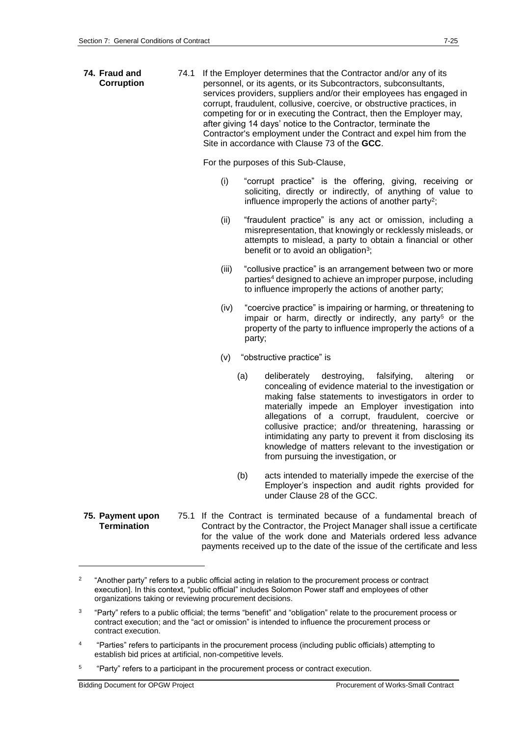**74. Fraud and Corruption** 74.1 If the Employer determines that the Contractor and/or any of its personnel, or its agents, or its Subcontractors, subconsultants, services providers, suppliers and/or their employees has engaged in corrupt, fraudulent, collusive, coercive, or obstructive practices, in competing for or in executing the Contract, then the Employer may, after giving 14 days' notice to the Contractor, terminate the Contractor's employment under the Contract and expel him from the Site in accordance with Clause 73 of the **GCC**.

For the purposes of this Sub-Clause,

- (i) "corrupt practice" is the offering, giving, receiving or soliciting, directly or indirectly, of anything of value to influence improperly the actions of another party<sup>2</sup>;
- (ii) "fraudulent practice" is any act or omission, including a misrepresentation, that knowingly or recklessly misleads, or attempts to mislead, a party to obtain a financial or other benefit or to avoid an obligation<sup>3</sup>;
- (iii) "collusive practice" is an arrangement between two or more parties<sup>4</sup> designed to achieve an improper purpose, including to influence improperly the actions of another party;
- (iv) "coercive practice" is impairing or harming, or threatening to impair or harm, directly or indirectly, any party<sup>5</sup> or the property of the party to influence improperly the actions of a party;
- (v) "obstructive practice" is
	- (a) deliberately destroying, falsifying, altering or concealing of evidence material to the investigation or making false statements to investigators in order to materially impede an Employer investigation into allegations of a corrupt, fraudulent, coercive or collusive practice; and/or threatening, harassing or intimidating any party to prevent it from disclosing its knowledge of matters relevant to the investigation or from pursuing the investigation, or
	- (b) acts intended to materially impede the exercise of the Employer's inspection and audit rights provided for under Clause 28 of the GCC.
- **75. Payment upon Termination** 75.1 If the Contract is terminated because of a fundamental breach of Contract by the Contractor, the Project Manager shall issue a certificate for the value of the work done and Materials ordered less advance payments received up to the date of the issue of the certificate and less

5 "Party" refers to a participant in the procurement process or contract execution.

1

<sup>2</sup> "Another party" refers to a public official acting in relation to the procurement process or contract execution]. In this context, "public official" includes Solomon Power staff and employees of other organizations taking or reviewing procurement decisions.

 $\overline{a}$ "Party" refers to a public official; the terms "benefit" and "obligation" relate to the procurement process or contract execution; and the "act or omission" is intended to influence the procurement process or contract execution.

<sup>4</sup> "Parties" refers to participants in the procurement process (including public officials) attempting to establish bid prices at artificial, non-competitive levels.